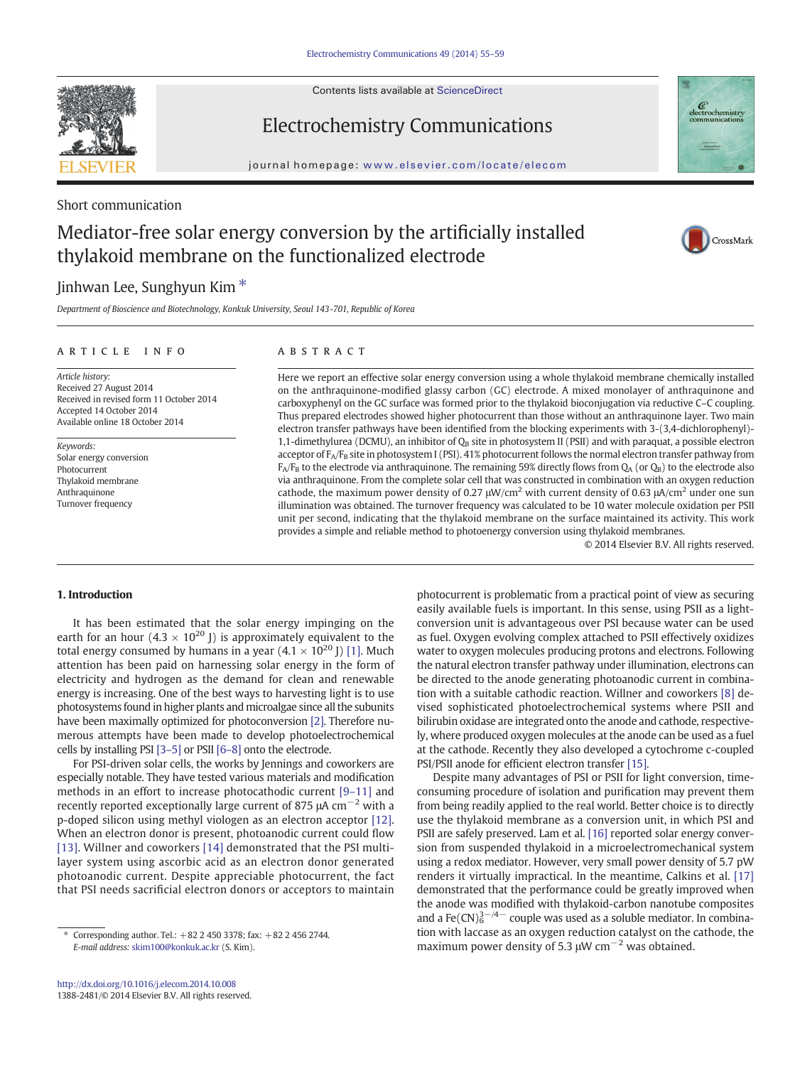Contents lists available at ScienceDirect



Electrochemistry Communications



### Short communication

## Mediator-free solar energy conversion by the artificially installed thylakoid membrane on the functionalized electrode



Department of Bioscience and Biotechnology, Konkuk University, Seoul 143-701, Republic of Korea

#### article info abstract

Article history: Received 27 August 2014 Received in revised form 11 October 2014 Accepted 14 October 2014 Available online 18 October 2014

Keywords: Solar energy conversion Photocurrent Thylakoid membrane Anthraquinone Turnover frequency

Here we report an effective solar energy conversion using a whole thylakoid membrane chemically installed on the anthraquinone-modified glassy carbon (GC) electrode. A mixed monolayer of anthraquinone and carboxyphenyl on the GC surface was formed prior to the thylakoid bioconjugation via reductive C–C coupling. Thus prepared electrodes showed higher photocurrent than those without an anthraquinone layer. Two main electron transfer pathways have been identified from the blocking experiments with 3-(3,4-dichlorophenyl)- 1,1-dimethylurea (DCMU), an inhibitor of  $Q_B$  site in photosystem II (PSII) and with paraquat, a possible electron acceptor of  $F_A/F_B$  site in photosystem I (PSI). 41% photocurrent follows the normal electron transfer pathway from  $F_A/F_B$  to the electrode via anthraquinone. The remaining 59% directly flows from  $Q_A$  (or  $Q_B$ ) to the electrode also via anthraquinone. From the complete solar cell that was constructed in combination with an oxygen reduction cathode, the maximum power density of 0.27  $\mu$ W/cm<sup>2</sup> with current density of 0.63  $\mu$ A/cm<sup>2</sup> under one sun illumination was obtained. The turnover frequency was calculated to be 10 water molecule oxidation per PSII unit per second, indicating that the thylakoid membrane on the surface maintained its activity. This work provides a simple and reliable method to photoenergy conversion using thylakoid membranes.

© 2014 Elsevier B.V. All rights reserved.

CrossMark

#### 1. Introduction

It has been estimated that the solar energy impinging on the earth for an hour  $(4.3 \times 10^{20}$  J) is approximately equivalent to the total energy consumed by humans in a year  $(4.1 \times 10^{20}$  J) [\[1\].](#page--1-0) Much attention has been paid on harnessing solar energy in the form of electricity and hydrogen as the demand for clean and renewable energy is increasing. One of the best ways to harvesting light is to use photosystems found in higher plants and microalgae since all the subunits have been maximally optimized for photoconversion [\[2\]](#page--1-0). Therefore numerous attempts have been made to develop photoelectrochemical cells by installing PSI [3–[5\]](#page--1-0) or PSII [\[6](#page--1-0)–8] onto the electrode.

For PSI-driven solar cells, the works by Jennings and coworkers are especially notable. They have tested various materials and modification methods in an effort to increase photocathodic current [9–[11\]](#page--1-0) and recently reported exceptionally large current of 875  $\mu$ A cm<sup>-2</sup> with a p-doped silicon using methyl viologen as an electron acceptor [\[12\].](#page--1-0) When an electron donor is present, photoanodic current could flow [\[13\].](#page--1-0) Willner and coworkers [\[14\]](#page--1-0) demonstrated that the PSI multilayer system using ascorbic acid as an electron donor generated photoanodic current. Despite appreciable photocurrent, the fact that PSI needs sacrificial electron donors or acceptors to maintain

photocurrent is problematic from a practical point of view as securing easily available fuels is important. In this sense, using PSII as a lightconversion unit is advantageous over PSI because water can be used as fuel. Oxygen evolving complex attached to PSII effectively oxidizes water to oxygen molecules producing protons and electrons. Following the natural electron transfer pathway under illumination, electrons can be directed to the anode generating photoanodic current in combination with a suitable cathodic reaction. Willner and coworkers [\[8\]](#page--1-0) devised sophisticated photoelectrochemical systems where PSII and bilirubin oxidase are integrated onto the anode and cathode, respectively, where produced oxygen molecules at the anode can be used as a fuel at the cathode. Recently they also developed a cytochrome c-coupled PSI/PSII anode for efficient electron transfer [\[15\].](#page--1-0)

Despite many advantages of PSI or PSII for light conversion, timeconsuming procedure of isolation and purification may prevent them from being readily applied to the real world. Better choice is to directly use the thylakoid membrane as a conversion unit, in which PSI and PSII are safely preserved. Lam et al. [\[16\]](#page--1-0) reported solar energy conversion from suspended thylakoid in a microelectromechanical system using a redox mediator. However, very small power density of 5.7 pW renders it virtually impractical. In the meantime, Calkins et al. [\[17\]](#page--1-0) demonstrated that the performance could be greatly improved when the anode was modified with thylakoid-carbon nanotube composites and a Fe(CN) $_6^{3-/4-}$  couple was used as a soluble mediator. In combination with laccase as an oxygen reduction catalyst on the cathode, the maximum power density of 5.3  $\mu$ W cm<sup>-2</sup> was obtained.

<sup>⁎</sup> Corresponding author. Tel.: +82 2 450 3378; fax: +82 2 456 2744. E-mail address: [skim100@konkuk.ac.kr](mailto:skim100@konkuk.ac.kr) (S. Kim).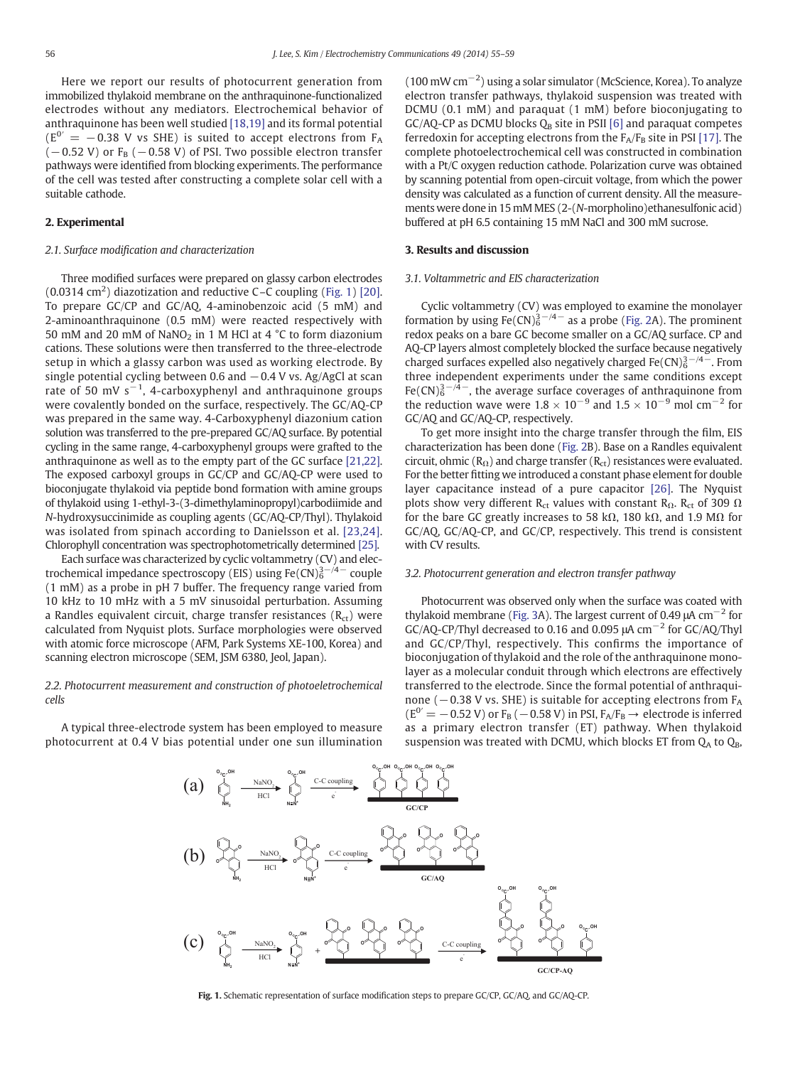Here we report our results of photocurrent generation from immobilized thylakoid membrane on the anthraquinone-functionalized electrodes without any mediators. Electrochemical behavior of anthraquinone has been well studied [\[18,19\]](#page--1-0) and its formal potential  $(E^{0'} = -0.38$  V vs SHE) is suited to accept electrons from F<sub>A</sub>  $(-0.52 \text{ V})$  or F<sub>B</sub>  $(-0.58 \text{ V})$  of PSI. Two possible electron transfer pathways were identified from blocking experiments. The performance of the cell was tested after constructing a complete solar cell with a suitable cathode.

#### 2. Experimental

#### 2.1. Surface modification and characterization

Three modified surfaces were prepared on glassy carbon electrodes (0.0314 cm<sup>2</sup> ) diazotization and reductive C–C coupling (Fig. 1) [\[20\].](#page--1-0) To prepare GC/CP and GC/AQ, 4-aminobenzoic acid (5 mM) and 2-aminoanthraquinone (0.5 mM) were reacted respectively with 50 mM and 20 mM of NaNO<sub>2</sub> in 1 M HCl at 4  $\degree$ C to form diazonium cations. These solutions were then transferred to the three-electrode setup in which a glassy carbon was used as working electrode. By single potential cycling between 0.6 and  $-0.4$  V vs. Ag/AgCl at scan rate of 50 mV s<sup>-1</sup>, 4-carboxyphenyl and anthraquinone groups were covalently bonded on the surface, respectively. The GC/AQ-CP was prepared in the same way. 4-Carboxyphenyl diazonium cation solution was transferred to the pre-prepared GC/AQ surface. By potential cycling in the same range, 4-carboxyphenyl groups were grafted to the anthraquinone as well as to the empty part of the GC surface [\[21,22\].](#page--1-0) The exposed carboxyl groups in GC/CP and GC/AQ-CP were used to bioconjugate thylakoid via peptide bond formation with amine groups of thylakoid using 1-ethyl-3-(3-dimethylaminopropyl)carbodiimide and N-hydroxysuccinimide as coupling agents (GC/AQ-CP/Thyl). Thylakoid was isolated from spinach according to Danielsson et al. [\[23,24\].](#page--1-0) Chlorophyll concentration was spectrophotometrically determined [\[25\].](#page--1-0)

Each surface was characterized by cyclic voltammetry (CV) and electrochemical impedance spectroscopy (EIS) using  $Fe(CN)_6^{3-/4-}$  couple (1 mM) as a probe in pH 7 buffer. The frequency range varied from 10 kHz to 10 mHz with a 5 mV sinusoidal perturbation. Assuming a Randles equivalent circuit, charge transfer resistances  $(R<sub>ct</sub>)$  were calculated from Nyquist plots. Surface morphologies were observed with atomic force microscope (AFM, Park Systems XE-100, Korea) and scanning electron microscope (SEM, JSM 6380, Jeol, Japan).

#### 2.2. Photocurrent measurement and construction of photoeletrochemical cells

A typical three-electrode system has been employed to measure photocurrent at 0.4 V bias potential under one sun illumination (100 mW cm−<sup>2</sup> ) using a solar simulator (McScience, Korea). To analyze electron transfer pathways, thylakoid suspension was treated with DCMU (0.1 mM) and paraquat (1 mM) before bioconjugating to  $GC/AQ$ -CP as DCMU blocks  $Q_B$  site in PSII [\[6\]](#page--1-0) and paraquat competes ferredoxin for accepting electrons from the  $F_A/F_B$  site in PSI [\[17\]](#page--1-0). The complete photoelectrochemical cell was constructed in combination with a Pt/C oxygen reduction cathode. Polarization curve was obtained by scanning potential from open-circuit voltage, from which the power density was calculated as a function of current density. All the measurements were done in 15 mM MES (2-(N-morpholino)ethanesulfonic acid) buffered at pH 6.5 containing 15 mM NaCl and 300 mM sucrose.

#### 3. Results and discussion

#### 3.1. Voltammetric and EIS characterization

Cyclic voltammetry (CV) was employed to examine the monolayer formation by using Fe(CN) $_6^{3-/4-}$  as a probe [\(Fig. 2](#page--1-0)A). The prominent redox peaks on a bare GC become smaller on a GC/AQ surface. CP and AQ-CP layers almost completely blocked the surface because negatively charged surfaces expelled also negatively charged  $Fe(CN)_6^{3-4-}$ . From three independent experiments under the same conditions except Fe(CN) $_6^{3-/4-}$ , the average surface coverages of anthraquinone from the reduction wave were  $1.8 \times 10^{-9}$  and  $1.5 \times 10^{-9}$  mol cm<sup>-2</sup> for GC/AQ and GC/AQ-CP, respectively.

To get more insight into the charge transfer through the film, EIS characterization has been done ([Fig. 2](#page--1-0)B). Base on a Randles equivalent circuit, ohmic ( $R_{\Omega}$ ) and charge transfer ( $R_{\text{ct}}$ ) resistances were evaluated. For the better fitting we introduced a constant phase element for double layer capacitance instead of a pure capacitor [\[26\].](#page--1-0) The Nyquist plots show very different R<sub>ct</sub> values with constant R<sub>Ω</sub>. R<sub>ct</sub> of 309  $\Omega$ for the bare GC greatly increases to 58 kΩ, 180 kΩ, and 1.9 MΩ for GC/AQ, GC/AQ-CP, and GC/CP, respectively. This trend is consistent with CV results.

#### 3.2. Photocurrent generation and electron transfer pathway

Photocurrent was observed only when the surface was coated with thylakoid membrane ([Fig. 3A](#page--1-0)). The largest current of 0.49  $\mu$ A cm<sup>-2</sup> for GC/AQ-CP/Thyl decreased to 0.16 and 0.095  $\mu$ A cm<sup>-2</sup> for GC/AQ/Thyl and GC/CP/Thyl, respectively. This confirms the importance of bioconjugation of thylakoid and the role of the anthraquinone monolayer as a molecular conduit through which electrons are effectively transferred to the electrode. Since the formal potential of anthraquinone ( $-0.38$  V vs. SHE) is suitable for accepting electrons from  $F_A$ ( $E^{0'}$  = −0.52 V) or F<sub>B</sub> (−0.58 V) in PSI, F<sub>A</sub>/F<sub>B</sub> → electrode is inferred as a primary electron transfer (ET) pathway. When thylakoid suspension was treated with DCMU, which blocks ET from  $Q_A$  to  $Q_B$ ,



Fig. 1. Schematic representation of surface modification steps to prepare GC/CP, GC/AQ, and GC/AQ-CP.